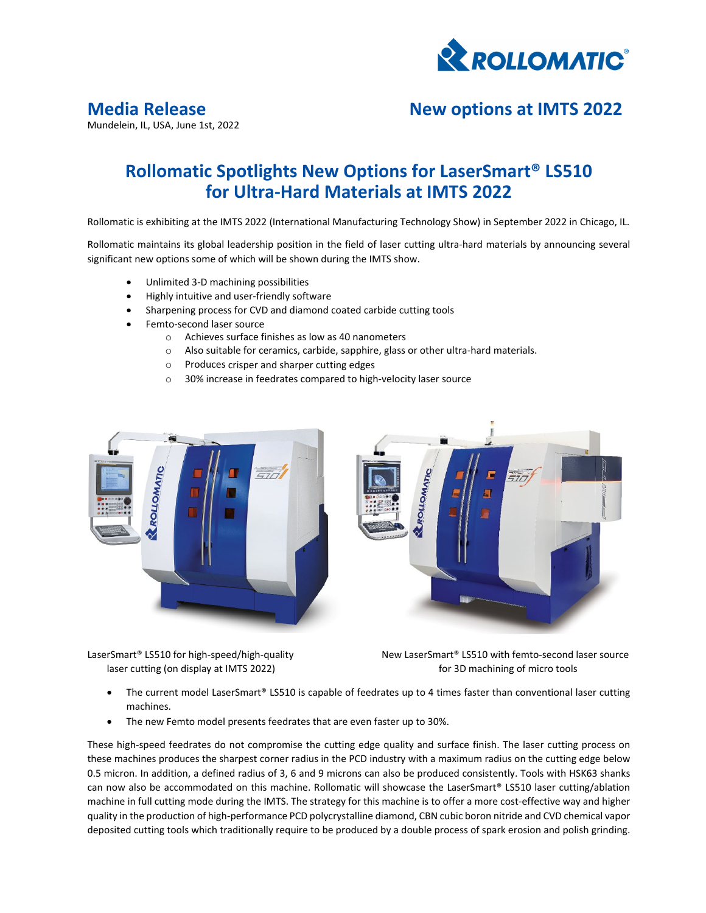

Mundelein, IL, USA, June 1st, 2022

# **Media Release New options at IMTS 2022**

## **Rollomatic Spotlights New Options for LaserSmart® LS510 for Ultra‐Hard Materials at IMTS 2022**

Rollomatic is exhibiting at the IMTS 2022 (International Manufacturing Technology Show) in September 2022 in Chicago, IL.

Rollomatic maintains its global leadership position in the field of laser cutting ultra‐hard materials by announcing several significant new options some of which will be shown during the IMTS show.

- Unlimited 3‐D machining possibilities
- Highly intuitive and user‐friendly software
- Sharpening process for CVD and diamond coated carbide cutting tools
- Femto‐second laser source
	- o Achieves surface finishes as low as 40 nanometers
	- o Also suitable for ceramics, carbide, sapphire, glass or other ultra‐hard materials.
	- o Produces crisper and sharper cutting edges
	- o 30% increase in feedrates compared to high‐velocity laser source





LaserSmart® LS510 for high-speed/high-quality New LaserSmart® LS510 with femto-second laser source laser cutting (on display at IMTS 2022) and the state of the state of 3D machining of micro tools

- The current model LaserSmart® LS510 is capable of feedrates up to 4 times faster than conventional laser cutting machines.
- The new Femto model presents feedrates that are even faster up to 30%.

These high-speed feedrates do not compromise the cutting edge quality and surface finish. The laser cutting process on these machines produces the sharpest corner radius in the PCD industry with a maximum radius on the cutting edge below 0.5 micron. In addition, a defined radius of 3, 6 and 9 microns can also be produced consistently. Tools with HSK63 shanks can now also be accommodated on this machine. Rollomatic will showcase the LaserSmart® LS510 laser cutting/ablation machine in full cutting mode during the IMTS. The strategy for this machine is to offer a more cost-effective way and higher quality in the production of high‐performance PCD polycrystalline diamond, CBN cubic boron nitride and CVD chemical vapor deposited cutting tools which traditionally require to be produced by a double process of spark erosion and polish grinding.